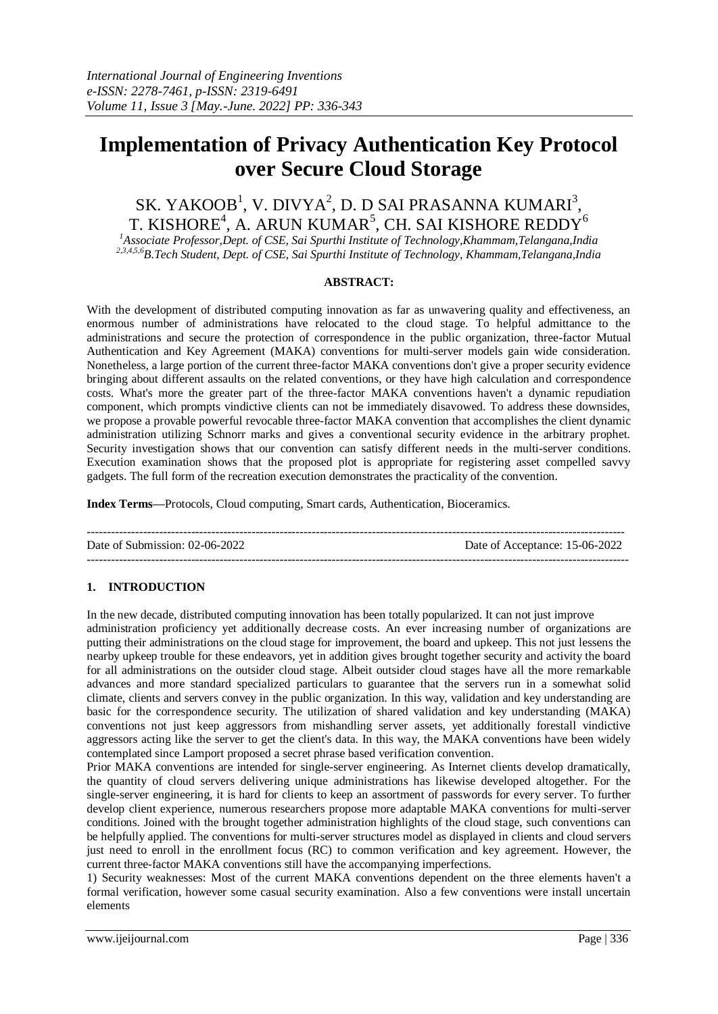# **Implementation of Privacy Authentication Key Protocol over Secure Cloud Storage**

## SK. YAKOOB $^1$ , V. DIVYA $^2$ , D. D SAI PRASANNA KUMARI $^3$ , T. KISHORE $^4$ , A. ARUN KUMAR $^5$ , CH. SAI KISHORE REDDY $^6$

*<sup>1</sup>Associate Professor,Dept. of CSE, Sai Spurthi Institute of Technology,Khammam,Telangana,India 2,3,4,5,6B.Tech Student, Dept. of CSE, Sai Spurthi Institute of Technology, Khammam,Telangana,India*

## **ABSTRACT:**

With the development of distributed computing innovation as far as unwavering quality and effectiveness, an enormous number of administrations have relocated to the cloud stage. To helpful admittance to the administrations and secure the protection of correspondence in the public organization, three-factor Mutual Authentication and Key Agreement (MAKA) conventions for multi-server models gain wide consideration. Nonetheless, a large portion of the current three-factor MAKA conventions don't give a proper security evidence bringing about different assaults on the related conventions, or they have high calculation and correspondence costs. What's more the greater part of the three-factor MAKA conventions haven't a dynamic repudiation component, which prompts vindictive clients can not be immediately disavowed. To address these downsides, we propose a provable powerful revocable three-factor MAKA convention that accomplishes the client dynamic administration utilizing Schnorr marks and gives a conventional security evidence in the arbitrary prophet. Security investigation shows that our convention can satisfy different needs in the multi-server conditions. Execution examination shows that the proposed plot is appropriate for registering asset compelled savvy gadgets. The full form of the recreation execution demonstrates the practicality of the convention.

**Index Terms—**Protocols, Cloud computing, Smart cards, Authentication, Bioceramics.

-------------------------------------------------------------------------------------------------------------------------------------- Date of Submission: 02-06-2022 Date of Acceptance: 15-06-2022 ---------------------------------------------------------------------------------------------------------------------------------------

## **1. INTRODUCTION**

In the new decade, distributed computing innovation has been totally popularized. It can not just improve administration proficiency yet additionally decrease costs. An ever increasing number of organizations are putting their administrations on the cloud stage for improvement, the board and upkeep. This not just lessens the nearby upkeep trouble for these endeavors, yet in addition gives brought together security and activity the board for all administrations on the outsider cloud stage. Albeit outsider cloud stages have all the more remarkable advances and more standard specialized particulars to guarantee that the servers run in a somewhat solid climate, clients and servers convey in the public organization. In this way, validation and key understanding are basic for the correspondence security. The utilization of shared validation and key understanding (MAKA) conventions not just keep aggressors from mishandling server assets, yet additionally forestall vindictive aggressors acting like the server to get the client's data. In this way, the MAKA conventions have been widely contemplated since Lamport proposed a secret phrase based verification convention.

Prior MAKA conventions are intended for single-server engineering. As Internet clients develop dramatically, the quantity of cloud servers delivering unique administrations has likewise developed altogether. For the single-server engineering, it is hard for clients to keep an assortment of passwords for every server. To further develop client experience, numerous researchers propose more adaptable MAKA conventions for multi-server conditions. Joined with the brought together administration highlights of the cloud stage, such conventions can be helpfully applied. The conventions for multi-server structures model as displayed in clients and cloud servers just need to enroll in the enrollment focus (RC) to common verification and key agreement. However, the current three-factor MAKA conventions still have the accompanying imperfections.

1) Security weaknesses: Most of the current MAKA conventions dependent on the three elements haven't a formal verification, however some casual security examination. Also a few conventions were install uncertain elements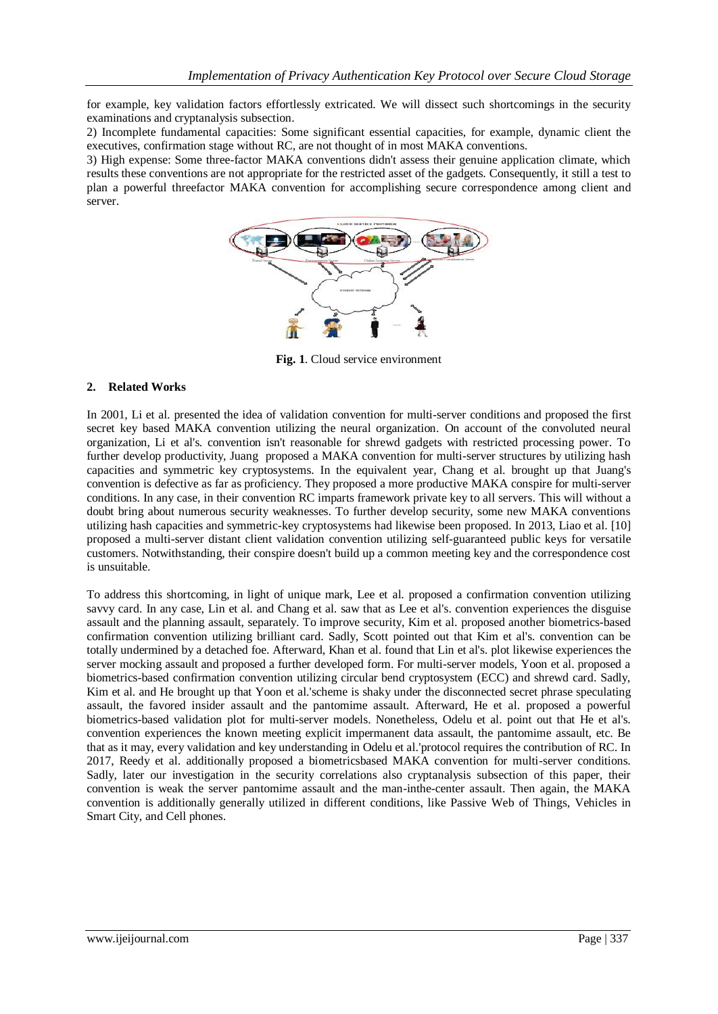for example, key validation factors effortlessly extricated. We will dissect such shortcomings in the security examinations and cryptanalysis subsection.

2) Incomplete fundamental capacities: Some significant essential capacities, for example, dynamic client the executives, confirmation stage without RC, are not thought of in most MAKA conventions.

3) High expense: Some three-factor MAKA conventions didn't assess their genuine application climate, which results these conventions are not appropriate for the restricted asset of the gadgets. Consequently, it still a test to plan a powerful threefactor MAKA convention for accomplishing secure correspondence among client and server.



**Fig. 1**. Cloud service environment

## **2. Related Works**

In 2001, Li et al. presented the idea of validation convention for multi-server conditions and proposed the first secret key based MAKA convention utilizing the neural organization. On account of the convoluted neural organization, Li et al's. convention isn't reasonable for shrewd gadgets with restricted processing power. To further develop productivity, Juang proposed a MAKA convention for multi-server structures by utilizing hash capacities and symmetric key cryptosystems. In the equivalent year, Chang et al. brought up that Juang's convention is defective as far as proficiency. They proposed a more productive MAKA conspire for multi-server conditions. In any case, in their convention RC imparts framework private key to all servers. This will without a doubt bring about numerous security weaknesses. To further develop security, some new MAKA conventions utilizing hash capacities and symmetric-key cryptosystems had likewise been proposed. In 2013, Liao et al. [10] proposed a multi-server distant client validation convention utilizing self-guaranteed public keys for versatile customers. Notwithstanding, their conspire doesn't build up a common meeting key and the correspondence cost is unsuitable.

To address this shortcoming, in light of unique mark, Lee et al. proposed a confirmation convention utilizing savvy card. In any case, Lin et al. and Chang et al. saw that as Lee et al's. convention experiences the disguise assault and the planning assault, separately. To improve security, Kim et al. proposed another biometrics-based confirmation convention utilizing brilliant card. Sadly, Scott pointed out that Kim et al's. convention can be totally undermined by a detached foe. Afterward, Khan et al. found that Lin et al's. plot likewise experiences the server mocking assault and proposed a further developed form. For multi-server models, Yoon et al. proposed a biometrics-based confirmation convention utilizing circular bend cryptosystem (ECC) and shrewd card. Sadly, Kim et al. and He brought up that Yoon et al.'scheme is shaky under the disconnected secret phrase speculating assault, the favored insider assault and the pantomime assault. Afterward, He et al. proposed a powerful biometrics-based validation plot for multi-server models. Nonetheless, Odelu et al. point out that He et al's. convention experiences the known meeting explicit impermanent data assault, the pantomime assault, etc. Be that as it may, every validation and key understanding in Odelu et al.'protocol requires the contribution of RC. In 2017, Reedy et al. additionally proposed a biometricsbased MAKA convention for multi-server conditions. Sadly, later our investigation in the security correlations also cryptanalysis subsection of this paper, their convention is weak the server pantomime assault and the man-inthe-center assault. Then again, the MAKA convention is additionally generally utilized in different conditions, like Passive Web of Things, Vehicles in Smart City, and Cell phones.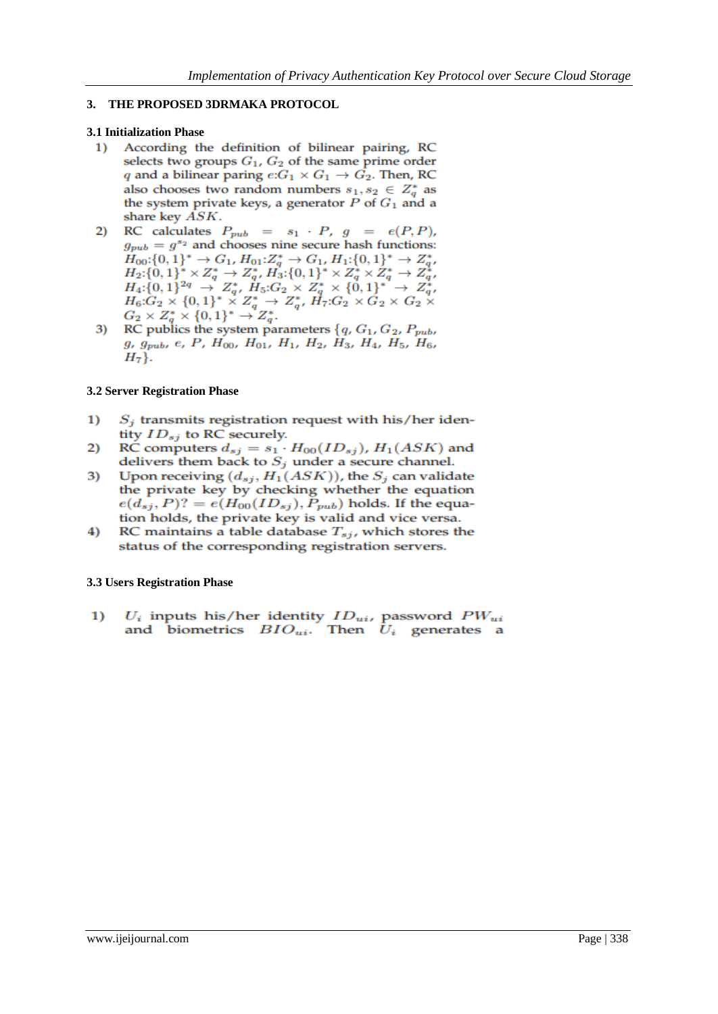## **3. THE PROPOSED 3DRMAKA PROTOCOL**

## **3.1 Initialization Phase**

- $1)$ According the definition of bilinear pairing, RC selects two groups  $G_1$ ,  $G_2$  of the same prime order q and a bilinear paring  $e:G_1 \times G_1 \rightarrow G_2$ . Then, RC also chooses two random numbers  $s_1, s_2 \in Z_q^*$  as the system private keys, a generator  $P$  of  $G_1$  and a share key ASK.
- RC calculates  $P_{pub} = s_1 \cdot P$ ,  $g = e(P, P)$ , 2)  $g_{pub} = g^{s_2}$  and chooses nine secure hash functions:  $H_{00}:\{0,1\}^* \to G_1$ ,  $H_{01}:Z_q^* \to G_1$ ,  $H_{1}:\{0,1\}^* \to Z_{q}^*$ ,  $H_{00}:\{0, 1\} \rightarrow G_1, H_{01}:Z_q \rightarrow G_1, H_1:\{0, 1\} \rightarrow Z_q,$ <br>  $H_2:\{0, 1\}^* \times Z_q^* \rightarrow Z_q^*, H_3:\{0, 1\}^* \times Z_q^* \times Z_q^* \rightarrow Z_q^*,$ <br>  $H_4:\{0, 1\}^{2q} \rightarrow Z_q^*, H_5:G_2 \times Z_q^* \times \{0, 1\}^* \rightarrow Z_q^*,$ <br>  $H_6:G_2 \times \{0, 1\}^* \times Z_q^* \rightarrow Z_q^*, H_7:G_2 \times G_2 \times G_2 \times$ <br>
- 3)  $g, g_{pub}, e, P, H_{00}, H_{01}, H_1, H_2, H_3, H_4, H_5, H_6,$  $H_7$ .

## **3.2 Server Registration Phase**

- $\bf{1}$  $S_i$  transmits registration request with his/her identity  $ID_{sj}$  to RC securely.
- RC computers  $d_{sj} = s_1 \cdot H_{00}(ID_{sj})$ ,  $H_1(ASK)$  and 2) delivers them back to  $S_i$  under a secure channel.
- Upon receiving  $(d_{sj}, H_1(ASK))$ , the  $S_j$  can validate 3) the private key by checking whether the equation  $e(d_{sj}, P)$ ? =  $e(H_{00}(ID_{sj}), P_{pub})$  holds. If the equation holds, the private key is valid and vice versa.
- 4) RC maintains a table database  $T_{sj}$ , which stores the status of the corresponding registration servers.

## **3.3 Users Registration Phase**

 $U_i$  inputs his/her identity  $ID_{ui}$  password  $PW_{ui}$  and biometrics  $\ BIO_{ui}.$  Then  $\ U_i$  generates a  $\bf{1}$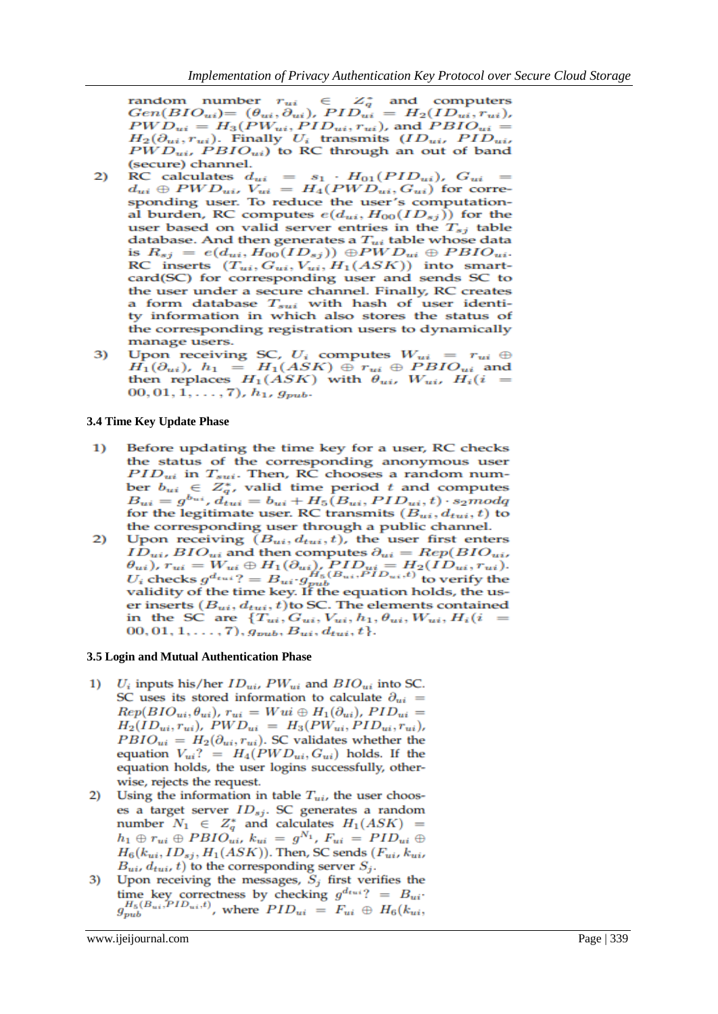random number  $r_{ui} \in Z_q^*$  and computers<br>  $Gen(BIO_{ui}) = (\theta_{ui}, \partial_{ui})$ ,  $PID_{ui} = H_2(ID_{ui}, r_{ui})$ , random number  $r_{ui}$  $PWD_{ui} = H_3(PW_{ui}, PID_{ui}, r_{ui})$ , and  $PBIO_{ui} =$  $H_2(\partial_{ui}, r_{ui})$ . Finally  $U_i$  transmits  $(ID_{ui}, PID_{ui},$  $PWD_{ui}$ ,  $PBIO_{ui}$ ) to RC through an out of band (secure) channel.

- RC calculates  $d_{ui} = s_1 \cdot H_{01}(PID_{ui}), G_{ui} = d_{ui} \oplus PWD_{ui}, V_{ui} = H_4(PWD_{ui}, G_{ui})$  for corresponding user. To reduce the user's computation- $2)$ al burden, RC computes  $e(d_{ui}, H_{00}(ID_{sj}))$  for the user based on valid server entries in the  $T_{sj}$  table database. And then generates a  $T_{ui}$  table whose data is  $R_{sj} = e(d_{ui}, H_{00}(ID_{sj})) \oplus PWD_{ui} \oplus PBIO_{ui}.$ RC inserts  $(T_{ui}, G_{ui}, V_{ui}, H_1(ASK))$  into smartcard(SC) for corresponding user and sends SC to the user under a secure channel. Finally, RC creates a form database  $T_{sui}$  with hash of user identity information in which also stores the status of the corresponding registration users to dynamically manage users.
- Upon receiving SC,  $U_i$  computes  $W_{ui} = r_{ui} \oplus$ 3)  $H_1(\partial_{ui})$ ,  $h_1 = H_1(ASK) \oplus r_{ui} \oplus PBIO_{ui}$  and then replaces  $H_1(ASK)$  with  $\theta_{ui}$ ,  $W_{ui}$ ,  $H_i(i)$  $(00, 01, 1, \ldots, 7), h_1, g_{pub}.$

#### **3.4 Time Key Update Phase**

- Before updating the time key for a user, RC checks  $\overline{1}$ the status of the corresponding anonymous user  $PID_{ui}$  in  $T_{sui}$ . Then, RC chooses a random number  $b_{ui} \in Z_q^*$ , valid time period t and computes  $B_{ui} = g^{b_{ui}}, d_{tui} = b_{ui} + H_5(B_{ui}, PID_{ui}, t) \cdot s_2 mod q$ for the legitimate user. RC transmits  $(B_{ui}, d_{tui}, t)$  to the corresponding user through a public channel.
- 2) Upon receiving  $(B_{ui}, d_{tui}, t)$ , the user first enters  $ID_{ui} BIO_{ui}$  and then computes  $\partial_{ui} = Rep(BIO_{ui})$  $\theta_{ui}$ ),  $r_{ui} = W_{ui} \oplus H_1(\partial_{ui})$ ,  $PID_{ui} = H_2(ID_{ui}, r_{ui})$ .<br>  $U_i$  checks  $g^{d_{tui}}$ ? =  $B_{ui} \cdot g_{pub}^{H_5(B_{ui},PID_{ui},t)}$  to verify the validity of the time key. If the equation holds, the user inserts  $(B_{ui}, d_{tui}, t)$  to SC. The elements contained in the SC are  $\{T_{ui}, G_{ui}, V_{ui}, h_1, \theta_{ui}, W_{ui}, H_i(i)$ 00, 01, 1, ..., 7),  $g_{pub}, B_{ui}, d_{tui}, t$ .

## **3.5 Login and Mutual Authentication Phase**

- $1)$  $U_i$  inputs his/her  $ID_{ui}$ ,  $PW_{ui}$  and  $BIO_{ui}$  into SC. SC uses its stored information to calculate  $\partial_{ui}$  =  $Rep(BIO_{ui}, \theta_{ui})$ ,  $r_{ui} = Wui \oplus H_1(\partial_{ui})$ ,  $PID_{ui} =$  $H_2(ID_{ui}, r_{ui}), PWD_{ui} = H_3(PW_{ui}, PID_{ui}, r_{ui}),$  $PBIO_{ui} = H_2(\partial_{ui}, r_{ui})$ . SC validates whether the equation  $V_{ui}$ ? =  $H_4(PWD_{ui}, G_{ui})$  holds. If the equation holds, the user logins successfully, otherwise, rejects the request.
- Using the information in table  $T_{ui}$ , the user choos-2) es a target server  $ID_{sj}$ . SC generates a random number  $N_1 \in Z_q^*$  and calculates  $H_1(ASK)$  =  $h_1 \oplus r_{ui} \oplus PBIO_{ui}, k_{ui} = g^{N_1}, F_{ui} = PID_{ui} \oplus$  $H_6(k_{ui}, ID_{sj}, H_1(ASK))$ . Then, SC sends  $(F_{ui}, k_{ui},$  $B_{ui}$ ,  $d_{tui}$ , t) to the corresponding server  $S_j$ .
- Upon receiving the messages,  $S_j$  first verifies the 3)  $\begin{array}{l} \mbox{time key correctness by checking } g^{d_{tui} ?} = B_{ui} \cdot \\ g^{H_5(B_{ui}, PID_{ui}, t)}_{pub}, \mbox{ where } PID_{ui} \, = \, F_{ui} \, \oplus \, H_6(k_{ui}, \\ \end{array}$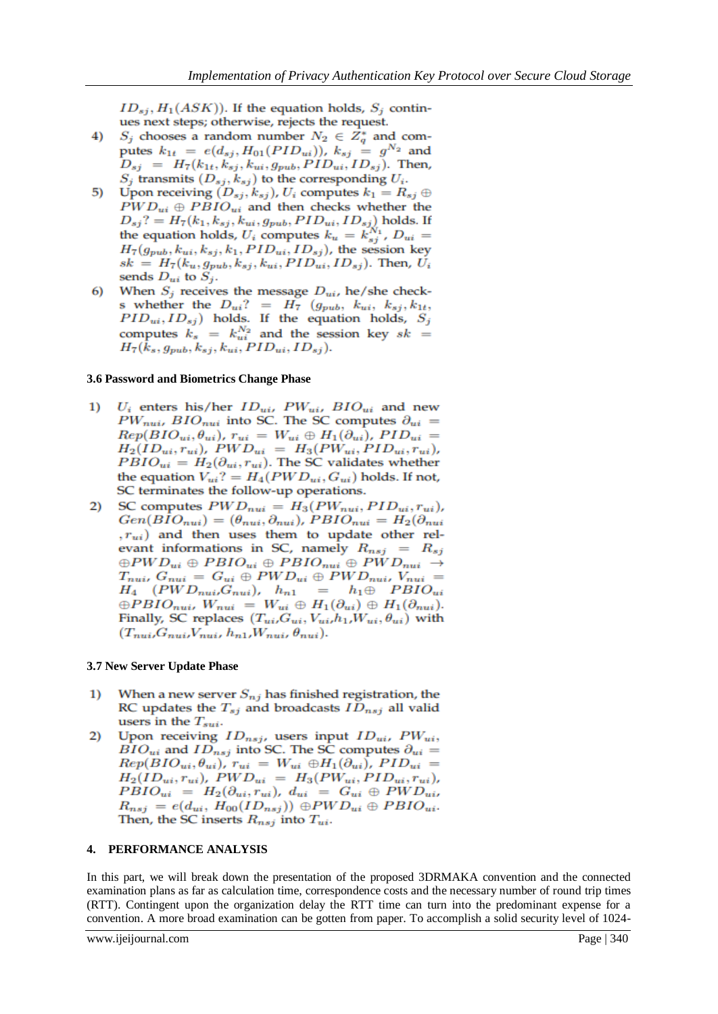$ID_{sj}, H_1(ASK)$ ). If the equation holds,  $S_j$  continues next steps; otherwise, rejects the request.

- $S_j$  chooses a random number  $N_2 \in Z_q^*$  and com-4) putes  $k_{1t} = e(d_{sj}, H_{01}(PID_{ui}))$ ,  $k_{sj} = g^{N_2}$  and  $D_{sj}$  =  $H_7(k_{1t}, k_{sj}, k_{ui}, g_{pub}, PID_{ui}, ID_{sj})$ . Then,  $S_j$  transmits  $(D_{sj}, k_{sj})$  to the corresponding  $U_i$ .
- Upon receiving  $(D_{sj}, k_{sj})$ ,  $U_i$  computes  $k_1 = R_{sj} \oplus$ 5)  $PWD_{ui} \oplus PBIO_{ui}$  and then checks whether the  $D_{sj}$ ? =  $H_7(k_1, k_{sj}, k_{ui}, g_{pub}, PID_{ui}, ID_{sj})$  holds. If<br>the equation holds,  $U_i$  computes  $k_u = k_{sj}^{N_1}$ ,  $D_{ui}$  =  $H_7(g_{pub}, k_{ui}, k_{sj}, k_1, PID_{ui}, ID_{sj})$ , the session key  $sk = H_7(k_u, g_{pub}, k_{sj}, k_{ui}, PID_{ui}, ID_{sj})$ . Then,  $U_i$ sends  $D_{ui}$  to  $S_j$ .
- When  $S_j$  receives the message  $D_{ui}$ , he/she check-6) s whether the  $D_{ui}$ ? =  $H_7$  ( $g_{pub}$ ,  $k_{ui}$ ,  $k_{sj}$ ,  $k_{1t}$ ,  $PID_{ui}, ID_{sj})$  holds. If the equation holds,  $S_j$ computes  $k_s = k_{ui}^{N_2}$  and the session key  $sk =$  $H_7(\tilde{k}_s, g_{pub}, k_{sj}, k_{ui}, PID_{ui}, ID_{sj}).$

## **3.6 Password and Biometrics Change Phase**

- $U_i$  enters his/her  $ID_{ui}$ ,  $PW_{ui}$ ,  $BIO_{ui}$  and new  $\overline{1}$  $PW_{nui}$ ,  $BIO_{nui}$  into SC. The SC computes  $\partial_{ui}$  =  $Rep(BIO_{ui}, \theta_{ui})$ ,  $r_{ui} = W_{ui} \oplus H_1(\partial_{ui})$ ,  $PID_{ui} =$  $H_2(ID_{ui}, r_{ui}), \, PWD_{ui} \, = \, H_3(PW_{ui}, PID_{ui}, r_{ui}),$  $PBIO_{ui} = H_2(\partial_{ui}, r_{ui})$ . The SC validates whether the equation  $V_{ui}$ ? =  $H_4(PWD_{ui}, G_{ui})$  holds. If not, SC terminates the follow-up operations.
- SC computes  $PWD_{nui} = H_3(PW_{nui}, PID_{ui}, r_{ui})$  $2)$  $Gen(BIO_{nui}) = (\theta_{nui}, \partial_{nui})$ ,  $PBIO_{nui} = H_2(\partial_{nui})$  $(r_{ui})$  and then uses them to update other relevant informations in SC, namely  $R_{nsj}$  =  $R_{sj}$  $\oplus PWD_{ui} \oplus PBIO_{ui} \oplus PBIO_{nui} \oplus PWD_{nui} \rightarrow$  $T_{nui}, G_{nui} = G_{ui} \oplus PWD_{ui} \oplus PWD_{nui}, V_{nui} =$  $H_4$  (PWD<sub>nuir</sub>G<sub>nui</sub>),  $h_{n1} = h_1 \oplus PBIO_{ui}$  $\oplus PBIO_{nui}, W_{nui} = W_{ui} \oplus H_1(\partial_{ui}) \oplus H_1(\partial_{nui}).$ Finally, SC replaces  $(T_{ui}, G_{ui}, V_{ui}, h_1, W_{ui}, \theta_{ui})$  with  $(T_{nui}, G_{nui}, V_{nui}, h_{n1}, W_{nui}, \theta_{nui}).$

## **3.7 New Server Update Phase**

- When a new server  $S_{nj}$  has finished registration, the  $\bf{1}$ RC updates the  $T_{sj}$  and broadcasts  $ID_{nsj}$  all valid users in the  $T_{sui}$ .
- Upon receiving  $ID_{nsj}$ , users input  $ID_{ui}$ ,  $PW_{ui}$ , 2)  $\vec{BIO}_{ui}$  and  $\vec{ID}_{nsj}$  into SC. The SC computes  $\partial_{ui}$  =  $Rep(BIO_{ui}, \theta_{ui})$ ,  $r_{ui} = W_{ui} \oplus H_1(\partial_{ui})$ ,  $PID_{ui} =$  $H_2(ID_{ui}, r_{ui}), PWD_{ui} = H_3(PW_{ui}, PID_{ui}, r_{ui}),$  $PBIO_{ui} = H_2(\partial_{ui}, r_{ui}), d_{ui} = G_{ui} \oplus PWD_{ui},$  $R_{nsj} = e(d_{ui}, H_{00}(ID_{nsj})) \oplus PWD_{ui} \oplus PBIO_{ui}.$ Then, the SC inserts  $R_{nsj}$  into  $T_{ui}$ .

## **4. PERFORMANCE ANALYSIS**

In this part, we will break down the presentation of the proposed 3DRMAKA convention and the connected examination plans as far as calculation time, correspondence costs and the necessary number of round trip times (RTT). Contingent upon the organization delay the RTT time can turn into the predominant expense for a convention. A more broad examination can be gotten from paper. To accomplish a solid security level of 1024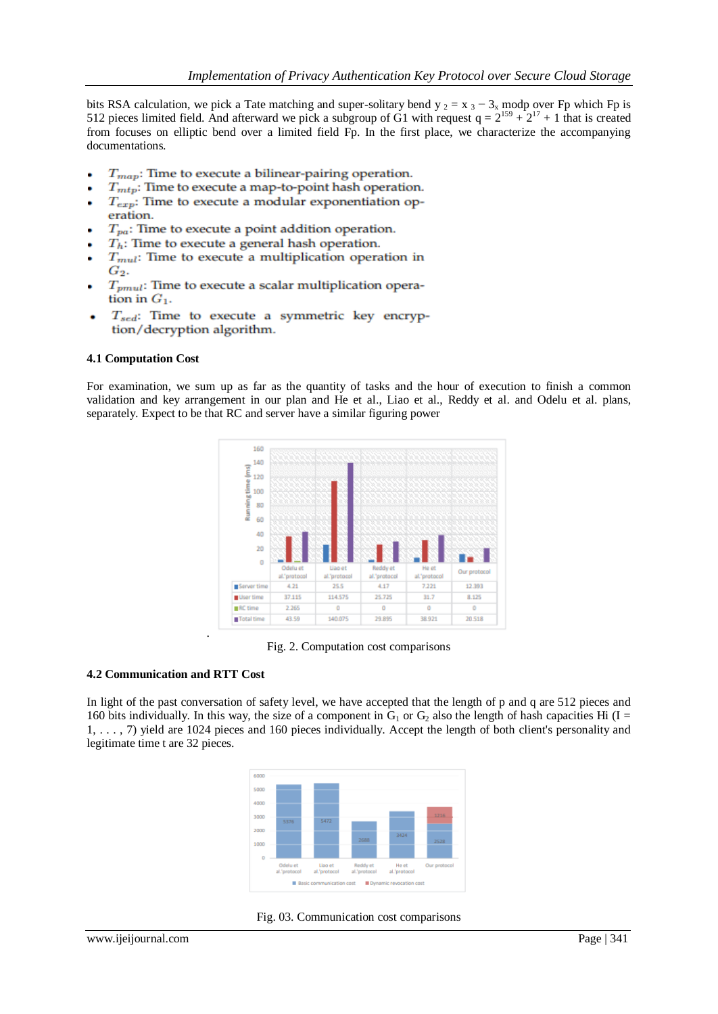bits RSA calculation, we pick a Tate matching and super-solitary bend y  $_2 = x_3 - 3_x$  modp over Fp which Fp is 512 pieces limited field. And afterward we pick a subgroup of G1 with request  $q = 2^{159} + 2^{17} + 1$  that is created from focuses on elliptic bend over a limited field Fp. In the first place, we characterize the accompanying documentations.

- $T_{map}$ : Time to execute a bilinear-pairing operation. ä
- $T_{mtp}$ : Time to execute a map-to-point hash operation.
- $T_{\text{exp}}$ : Time to execute a modular exponentiation operation.
- $T_{pa}$ : Time to execute a point addition operation.
- $T_h$ : Time to execute a general hash operation.
- $T_{mul}$ : Time to execute a multiplication operation in  $G_2$ .
- $T_{pmul}$ : Time to execute a scalar multiplication operation in  $G_1$ .
- $T_{sed}$ : Time to execute a symmetric key encryp-٠ tion/decryption algorithm.

## **4.1 Computation Cost**

For examination, we sum up as far as the quantity of tasks and the hour of execution to finish a common validation and key arrangement in our plan and He et al., Liao et al., Reddy et al. and Odelu et al. plans, separately. Expect to be that RC and server have a similar figuring power



Fig. 2. Computation cost comparisons

## **4.2 Communication and RTT Cost**

.

In light of the past conversation of safety level, we have accepted that the length of p and q are 512 pieces and 160 bits individually. In this way, the size of a component in  $G_1$  or  $G_2$  also the length of hash capacities Hi (I = 1, . . . , 7) yield are 1024 pieces and 160 pieces individually. Accept the length of both client's personality and legitimate time t are 32 pieces.



Fig. 03. Communication cost comparisons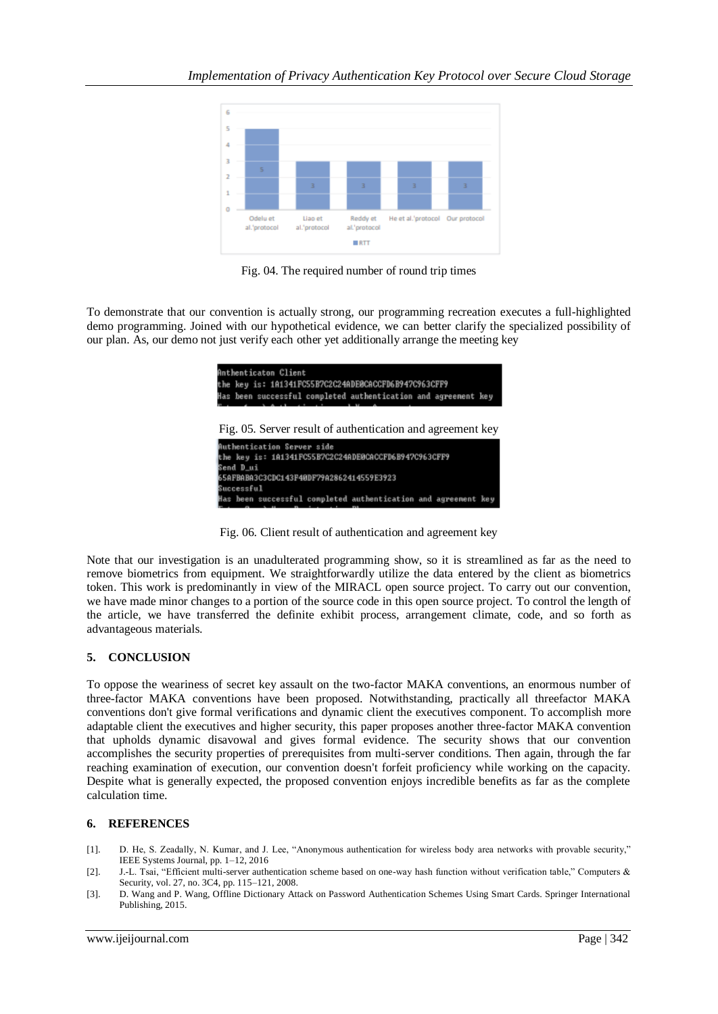

Fig. 04. The required number of round trip times

To demonstrate that our convention is actually strong, our programming recreation executes a full-highlighted demo programming. Joined with our hypothetical evidence, we can better clarify the specialized possibility of our plan. As, our demo not just verify each other yet additionally arrange the meeting key



Fig. 06. Client result of authentication and agreement key

Note that our investigation is an unadulterated programming show, so it is streamlined as far as the need to remove biometrics from equipment. We straightforwardly utilize the data entered by the client as biometrics token. This work is predominantly in view of the MIRACL open source project. To carry out our convention, we have made minor changes to a portion of the source code in this open source project. To control the length of the article, we have transferred the definite exhibit process, arrangement climate, code, and so forth as advantageous materials.

## **5. CONCLUSION**

To oppose the weariness of secret key assault on the two-factor MAKA conventions, an enormous number of three-factor MAKA conventions have been proposed. Notwithstanding, practically all threefactor MAKA conventions don't give formal verifications and dynamic client the executives component. To accomplish more adaptable client the executives and higher security, this paper proposes another three-factor MAKA convention that upholds dynamic disavowal and gives formal evidence. The security shows that our convention accomplishes the security properties of prerequisites from multi-server conditions. Then again, through the far reaching examination of execution, our convention doesn't forfeit proficiency while working on the capacity. Despite what is generally expected, the proposed convention enjoys incredible benefits as far as the complete calculation time.

## **6. REFERENCES**

- [1]. D. He, S. Zeadally, N. Kumar, and J. Lee, "Anonymous authentication for wireless body area networks with provable security," IEEE Systems Journal, pp. 1–12, 2016
- [2]. J.-L. Tsai, "Efficient multi-server authentication scheme based on one-way hash function without verification table," Computers & Security, vol. 27, no. 3C4, pp. 115–121, 2008.
- [3]. D. Wang and P. Wang, Offline Dictionary Attack on Password Authentication Schemes Using Smart Cards. Springer International Publishing, 2015.